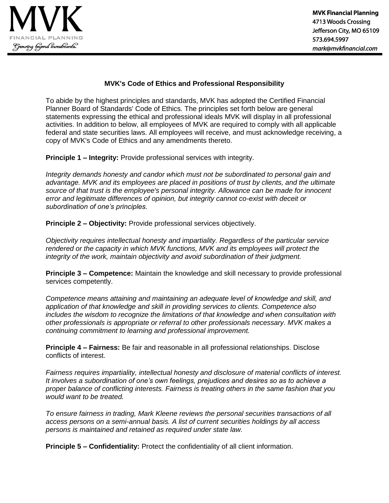

## **MVK's Code of Ethics and Professional Responsibility**

To abide by the highest principles and standards, MVK has adopted the Certified Financial Planner Board of Standards' Code of Ethics*.* The principles set forth below are general statements expressing the ethical and professional ideals MVK will display in all professional activities. In addition to below, all employees of MVK are required to comply with all applicable federal and state securities laws. All employees will receive, and must acknowledge receiving, a copy of MVK's Code of Ethics and any amendments thereto.

**Principle 1 – Integrity:** Provide professional services with integrity.

*Integrity demands honesty and candor which must not be subordinated to personal gain and advantage. MVK and its employees are placed in positions of trust by clients, and the ultimate source of that trust is the employee's personal integrity. Allowance can be made for innocent error and legitimate differences of opinion, but integrity cannot co-exist with deceit or subordination of one's principles.* 

**Principle 2 – Objectivity:** Provide professional services objectively.

*Objectivity requires intellectual honesty and impartiality. Regardless of the particular service rendered or the capacity in which MVK functions, MVK and its employees will protect the integrity of the work, maintain objectivity and avoid subordination of their judgment.*

**Principle 3 – Competence:** Maintain the knowledge and skill necessary to provide professional services competently.

*Competence means attaining and maintaining an adequate level of knowledge and skill, and application of that knowledge and skill in providing services to clients. Competence also includes the wisdom to recognize the limitations of that knowledge and when consultation with other professionals is appropriate or referral to other professionals necessary. MVK makes a continuing commitment to learning and professional improvement.* 

**Principle 4 – Fairness:** Be fair and reasonable in all professional relationships. Disclose conflicts of interest.

*Fairness requires impartiality, intellectual honesty and disclosure of material conflicts of interest. It involves a subordination of one's own feelings, prejudices and desires so as to achieve a proper balance of conflicting interests. Fairness is treating others in the same fashion that you would want to be treated.* 

*To ensure fairness in trading, Mark Kleene reviews the personal securities transactions of all access persons on a semi-annual basis. A list of current securities holdings by all access persons is maintained and retained as required under state law.* 

**Principle 5 – Confidentiality:** Protect the confidentiality of all client information.